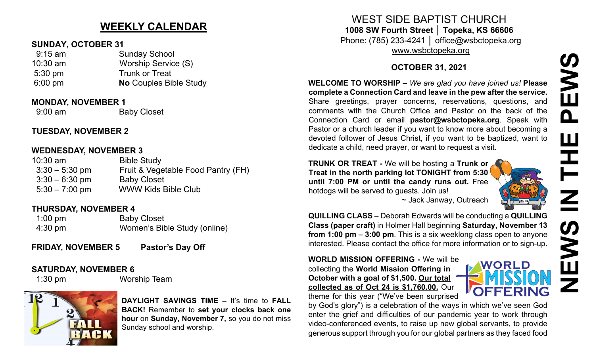# **NEWS IN THE PEWSPEWS** Ш  $\mathbf{Z}$  $\sum_{i=1}^{n}$

# **WEEKLY CALENDAR**

## **SUNDAY, OCTOBER 31**

| $9:15$ am         | <b>Sunday School</b>          |
|-------------------|-------------------------------|
| $10:30$ am        | Worship Service (S)           |
| $5:30 \text{ pm}$ | <b>Trunk or Treat</b>         |
| $6:00 \text{ pm}$ | <b>No Couples Bible Study</b> |
|                   |                               |

## **MONDAY, NOVEMBER 1**

9:00 am Baby Closet

## **TUESDAY, NOVEMBER 2**

## **WEDNESDAY, NOVEMBER 3**

| $10:30$ am       | <b>Bible Study</b>                 |
|------------------|------------------------------------|
| $3:30 - 5:30$ pm | Fruit & Vegetable Food Pantry (FH) |
| $3:30 - 6:30$ pm | <b>Baby Closet</b>                 |
| $5:30 - 7:00$ pm | <b>WWW Kids Bible Club</b>         |
|                  |                                    |

## **THURSDAY, NOVEMBER 4**

| $1:00$ pm         | <b>Baby Closet</b>           |
|-------------------|------------------------------|
| $4:30 \text{ pm}$ | Women's Bible Study (online) |

**FRIDAY, NOVEMBER 5 Pastor's Day Off**

## **SATURDAY, NOVEMBER 6**

1:30 pm Worship Team



**DAYLIGHT SAVINGS TIME –** It's time to **FALL BACK!** Remember to **set your clocks back one hour** on **Sunday, November 7,** so you do not miss Sunday school and worship.

# WEST SIDE BAPTIST CHURCH **1008 SW Fourth Street │ Topeka, KS 66606**

Phone: (785) 233-4241 │ office@wsbctopeka.org [www.wsbctopeka.org](http://www.wsbctopeka.org/)

## **OCTOBER 31, 2021**

**WELCOME TO WORSHIP –** *We are glad you have joined us!* **Please complete a Connection Card and leave in the pew after the service.** Share greetings, prayer concerns, reservations, questions, and comments with the Church Office and Pastor on the back of the Connection Card or email **pastor@wsbctopeka.org**. [Sp](https://www.facebook.com/ivangreuter.)eak with Pastor or a church leader if you want to know more about becoming a devoted follower of Jesus Christ, if you want to be baptized, want to dedicate a child, need prayer, or want to request a visit.

**TRUNK OR TREAT -** We will be hosting a **Trunk or Treat in the north parking lot TONIGHT from 5:30 until 7:00 PM or until the candy runs out.** Free hotdogs will be served to guests. Join us!



**WORLD** 

~ Jack Janway, Outreach

**QUILLING CLASS** – Deborah Edwards will be conducting a **QUILLING Class (paper craft)** in Holmer Hall beginning **Saturday, November 13 from 1:00 pm – 3:00 pm**. This is a six weeklong class open to anyone interested. Please contact the office for more information or to sign-up.

## **WORLD MISSION OFFERING -** We will be collecting the **World Mission Offering in October with a goal of \$1,500. Our total collected as of Oct 24 is \$1,760.00.** Our



by God's glory") is a celebration of the ways in which we've seen God enter the grief and difficulties of our pandemic year to work through video-conferenced events, to raise up new global servants, to provide generous support through you for our global partners as they faced food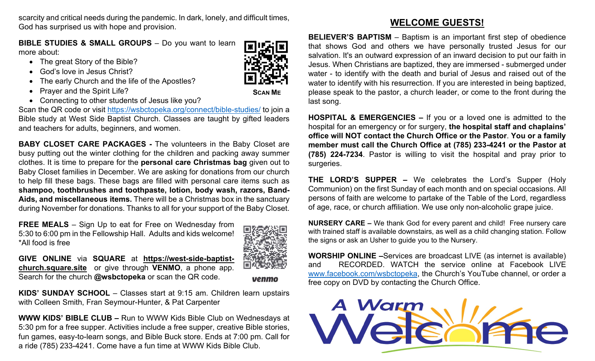scarcity and critical needs during the pandemic. In dark, lonely, and difficult times, God has surprised us with hope and provision.

**BIBLE STUDIES & SMALL GROUPS - Do you want to learn** more about:

- The great Story of the Bible?
- God's love in Jesus Christ?
- The early Church and the life of the Apostles?
- Prayer and the Spirit Life?
- Connecting to other students of Jesus like you?

Scan the QR code or visit<https://wsbctopeka.org/connect/bible-studies/> to join a Bible study at West Side Baptist Church. Classes are taught by gifted leaders and teachers for adults, beginners, and women.

**BABY CLOSET CARE PACKAGES -** The volunteers in the Baby Closet are busy putting out the winter clothing for the children and packing away summer clothes. It is time to prepare for the **personal care Christmas bag** given out to Baby Closet families in December. We are asking for donations from our church to help fill these bags. These bags are filled with personal care items such as **shampoo, toothbrushes and toothpaste, lotion, body wash, razors, Band-Aids, and miscellaneous items.** There will be a Christmas box in the sanctuary during November for donations. Thanks to all for your support of the Baby Closet.

**FREE MEALS** – Sign Up to eat for Free on Wednesday from 5:30 to 6:00 pm in the Fellowship Hall. Adults and kids welcome! \*All food is free



**GIVE ONLINE** via **SQUARE** at **[https://west](https://west-side-baptist-church.square.site/)-side-baptist[church.square.site](https://west-side-baptist-church.square.site/)** or give through **VENMO**, a phone app. Search for the church **@wsbctopeka** or scan the QR code.

venmo

**KIDS' SUNDAY SCHOOL** – Classes start at 9:15 am. Children learn upstairs with Colleen Smith, Fran Seymour-Hunter, & Pat Carpenter

**WWW KIDS' BIBLE CLUB –** Run to WWW Kids Bible Club on Wednesdays at 5:30 pm for a free supper. Activities include a free supper, creative Bible stories, fun games, easy-to-learn songs, and Bible Buck store. Ends at 7:00 pm. Call for a ride (785) 233-4241. Come have a fun time at WWW Kids Bible Club.

# **WELCOME GUESTS!**

**BELIEVER'S BAPTISM** – Baptism is an important first step of obedience that shows God and others we have personally trusted Jesus for our salvation. It's an outward expression of an inward decision to put our faith in Jesus. When Christians are baptized, they are immersed - submerged under water - to identify with the death and burial of Jesus and raised out of the water to identify with his resurrection. If you are interested in being baptized, please speak to the pastor, a church leader, or come to the front during the last song.

**HOSPITAL & EMERGENCIES –** If you or a loved one is admitted to the hospital for an emergency or for surgery, **the hospital staff and chaplains' office will NOT contact the Church Office or the Pastor**. **You or a family member must call the Church Office at (785) 233-4241 or the Pastor at (785) 224-7234**. Pastor is willing to visit the hospital and pray prior to surgeries.

**THE LORD'S SUPPER –** We celebrates the Lord's Supper (Holy Communion) on the first Sunday of each month and on special occasions. All persons of faith are welcome to partake of the Table of the Lord, regardless of age, race, or church affiliation. We use only non-alcoholic grape juice.

**NURSERY CARE –** We thank God for every parent and child! Free nursery care with trained staff is available downstairs, as well as a child changing station. Follow the signs or ask an Usher to guide you to the Nursery.

**WORSHIP ONLINE –**Services are broadcast LIVE (as internet is available) and RECORDED. WATCH the service online at Facebook LIVE [www.facebook.com/wsbctopeka](http://www.facebook.com/wsbctopeka), the Church's YouTube channel, or order a free copy on DVD by contacting the Church Office.





**SCAN ME**